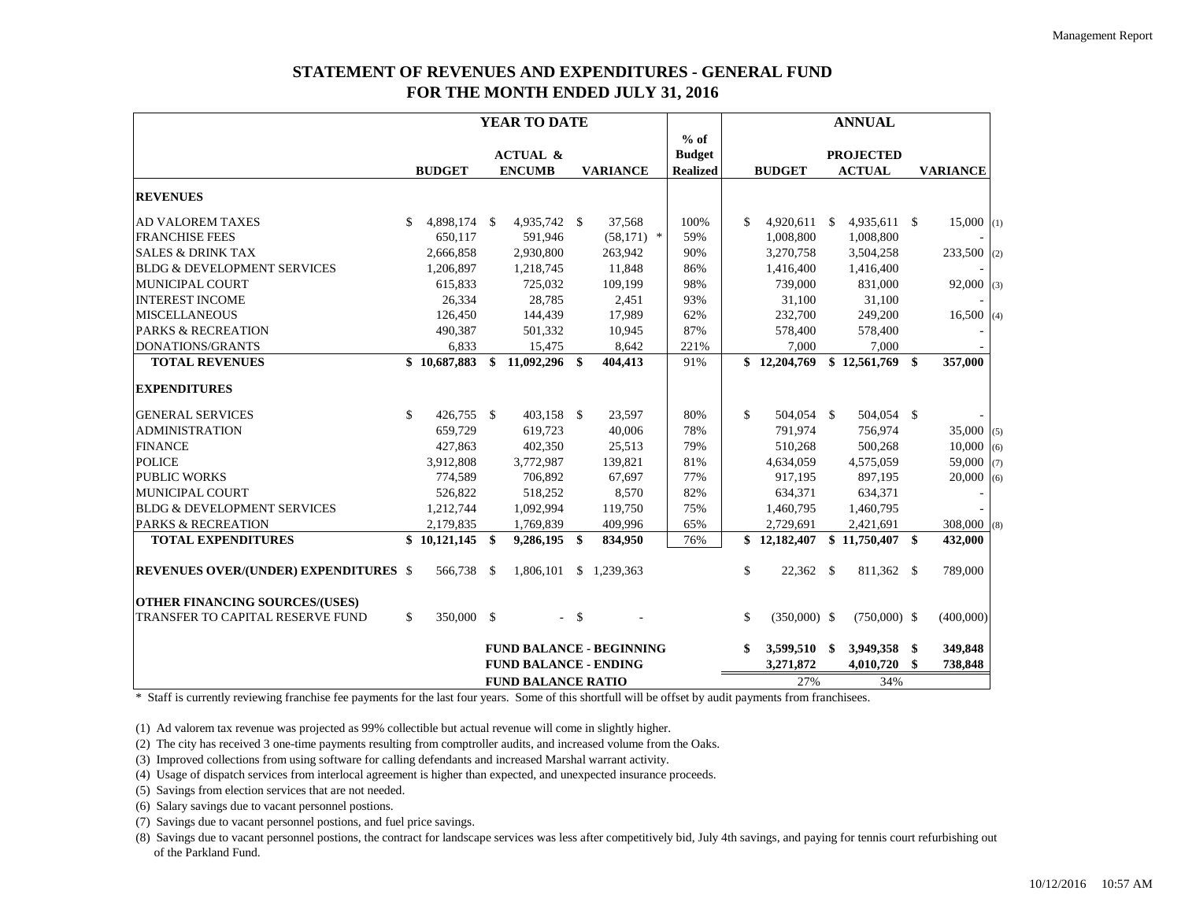## **STATEMENT OF REVENUES AND EXPENDITURES - GENERAL FUND FOR THE MONTH ENDED JULY 31, 2016**

|                                              |     |               |                           | YEAR TO DATE                 |               |                                 |                 |               |                |  | <b>ANNUAL</b>    |     |                 |
|----------------------------------------------|-----|---------------|---------------------------|------------------------------|---------------|---------------------------------|-----------------|---------------|----------------|--|------------------|-----|-----------------|
|                                              |     |               |                           |                              |               |                                 | $%$ of          |               |                |  |                  |     |                 |
|                                              |     |               |                           | <b>ACTUAL &amp;</b>          |               |                                 | <b>Budget</b>   |               |                |  | <b>PROJECTED</b> |     |                 |
|                                              |     | <b>BUDGET</b> |                           | <b>ENCUMB</b>                |               | <b>VARIANCE</b>                 | <b>Realized</b> |               | <b>BUDGET</b>  |  | <b>ACTUAL</b>    |     | <b>VARIANCE</b> |
| <b>REVENUES</b>                              |     |               |                           |                              |               |                                 |                 |               |                |  |                  |     |                 |
| <b>AD VALOREM TAXES</b>                      |     | 4.898.174 \$  |                           | 4.935.742 \$                 |               | 37,568                          | 100%            | \$.           | 4,920,611 \$   |  | 4,935,611 \$     |     | $15,000$ (1)    |
| <b>FRANCHISE FEES</b>                        |     | 650,117       |                           | 591,946                      |               | $(58,171)$ *                    | 59%             |               | 1,008,800      |  | 1,008,800        |     |                 |
| <b>SALES &amp; DRINK TAX</b>                 |     | 2,666,858     |                           | 2,930,800                    |               | 263,942                         | 90%             |               | 3,270,758      |  | 3,504,258        |     | 233,500 (2)     |
| <b>BLDG &amp; DEVELOPMENT SERVICES</b>       |     | 1,206,897     |                           | 1,218,745                    |               | 11,848                          | 86%             |               | 1,416,400      |  | 1,416,400        |     |                 |
| <b>MUNICIPAL COURT</b>                       |     | 615,833       |                           | 725,032                      |               | 109,199                         | 98%             |               | 739,000        |  | 831,000          |     | 92,000<br>(3)   |
| <b>INTEREST INCOME</b>                       |     | 26,334        |                           | 28,785                       |               | 2,451                           | 93%             |               | 31,100         |  | 31,100           |     |                 |
| <b>MISCELLANEOUS</b>                         |     | 126,450       |                           | 144,439                      |               | 17,989                          | 62%             |               | 232,700        |  | 249,200          |     | 16,500<br>(4)   |
| <b>PARKS &amp; RECREATION</b>                |     | 490,387       |                           | 501,332                      |               | 10,945                          | 87%             |               | 578,400        |  | 578,400          |     |                 |
| <b>DONATIONS/GRANTS</b>                      |     | 6,833         |                           | 15,475                       |               | 8,642                           | 221%            |               | 7,000          |  | 7,000            |     |                 |
| <b>TOTAL REVENUES</b>                        |     | \$10,687,883  |                           | $$11,092,296$ \$             |               | 404,413                         | 91%             |               | \$12,204,769   |  | \$12,561,769     | \$  | 357,000         |
| <b>EXPENDITURES</b>                          |     |               |                           |                              |               |                                 |                 |               |                |  |                  |     |                 |
| <b>GENERAL SERVICES</b>                      | \$  | 426,755 \$    |                           | 403,158 \$                   |               | 23,597                          | 80%             | $\mathbb{S}$  | 504,054 \$     |  | 504,054 \$       |     |                 |
| <b>ADMINISTRATION</b>                        |     | 659,729       |                           | 619.723                      |               | 40,006                          | 78%             |               | 791.974        |  | 756.974          |     | $35,000$ (5)    |
| <b>FINANCE</b>                               |     | 427,863       |                           | 402,350                      |               | 25,513                          | 79%             |               | 510,268        |  | 500,268          |     | 10,000<br>(6)   |
| <b>POLICE</b>                                |     | 3,912,808     |                           | 3,772,987                    |               | 139,821                         | 81%             |               | 4,634,059      |  | 4,575,059        |     | 59,000<br>(7)   |
| <b>PUBLIC WORKS</b>                          |     | 774,589       |                           | 706,892                      |               | 67,697                          | 77%             |               | 917,195        |  | 897,195          |     | 20,000<br>(6)   |
| <b>MUNICIPAL COURT</b>                       |     | 526,822       |                           | 518,252                      |               | 8,570                           | 82%             |               | 634,371        |  | 634.371          |     |                 |
| <b>BLDG &amp; DEVELOPMENT SERVICES</b>       |     | 1,212,744     |                           | 1,092,994                    |               | 119,750                         | 75%             |               | 1,460,795      |  | 1,460,795        |     |                 |
| <b>PARKS &amp; RECREATION</b>                |     | 2,179,835     |                           | 1,769,839                    |               | 409,996                         | 65%             |               | 2,729,691      |  | 2,421,691        |     | $308,000$ (8)   |
| <b>TOTAL EXPENDITURES</b>                    |     | \$10,121,145  | \$                        | 9,286,195 \$                 |               | 834,950                         | 76%             |               | \$12,182,407   |  | \$11,750,407     | \$  | 432,000         |
| <b>REVENUES OVER/(UNDER) EXPENDITURES \$</b> |     | 566,738 \$    |                           | 1,806,101                    |               | \$1.239,363                     |                 | $\mathbb{S}$  | 22,362 \$      |  | 811,362 \$       |     | 789,000         |
| <b>OTHER FINANCING SOURCES/(USES)</b>        |     |               |                           |                              |               |                                 |                 |               |                |  |                  |     |                 |
| TRANSFER TO CAPITAL RESERVE FUND             | \$. | 350,000 \$    |                           | $\sim$ $-$                   | <sup>\$</sup> |                                 |                 | $\mathcal{S}$ | $(350,000)$ \$ |  | $(750,000)$ \$   |     | (400,000)       |
|                                              |     |               |                           |                              |               | <b>FUND BALANCE - BEGINNING</b> |                 |               | 3,599,510 \$   |  | 3,949,358        | -\$ | 349,848         |
|                                              |     |               |                           | <b>FUND BALANCE - ENDING</b> |               |                                 |                 |               | 3,271,872      |  | 4,010,720        | \$  | 738,848         |
|                                              |     |               | <b>FUND BALANCE RATIO</b> |                              |               |                                 |                 |               | 27%<br>34%     |  |                  |     |                 |

\* Staff is currently reviewing franchise fee payments for the last four years. Some of this shortfull will be offset by audit payments from franchisees.

(1) Ad valorem tax revenue was projected as 99% collectible but actual revenue will come in slightly higher.

(2) The city has received 3 one-time payments resulting from comptroller audits, and increased volume from the Oaks.

(3) Improved collections from using software for calling defendants and increased Marshal warrant activity.

(4) Usage of dispatch services from interlocal agreement is higher than expected, and unexpected insurance proceeds.

(5) Savings from election services that are not needed.

(6) Salary savings due to vacant personnel postions.

(7) Savings due to vacant personnel postions, and fuel price savings.

(8) Savings due to vacant personnel postions, the contract for landscape services was less after competitively bid, July 4th savings, and paying for tennis court refurbishing out of the Parkland Fund.